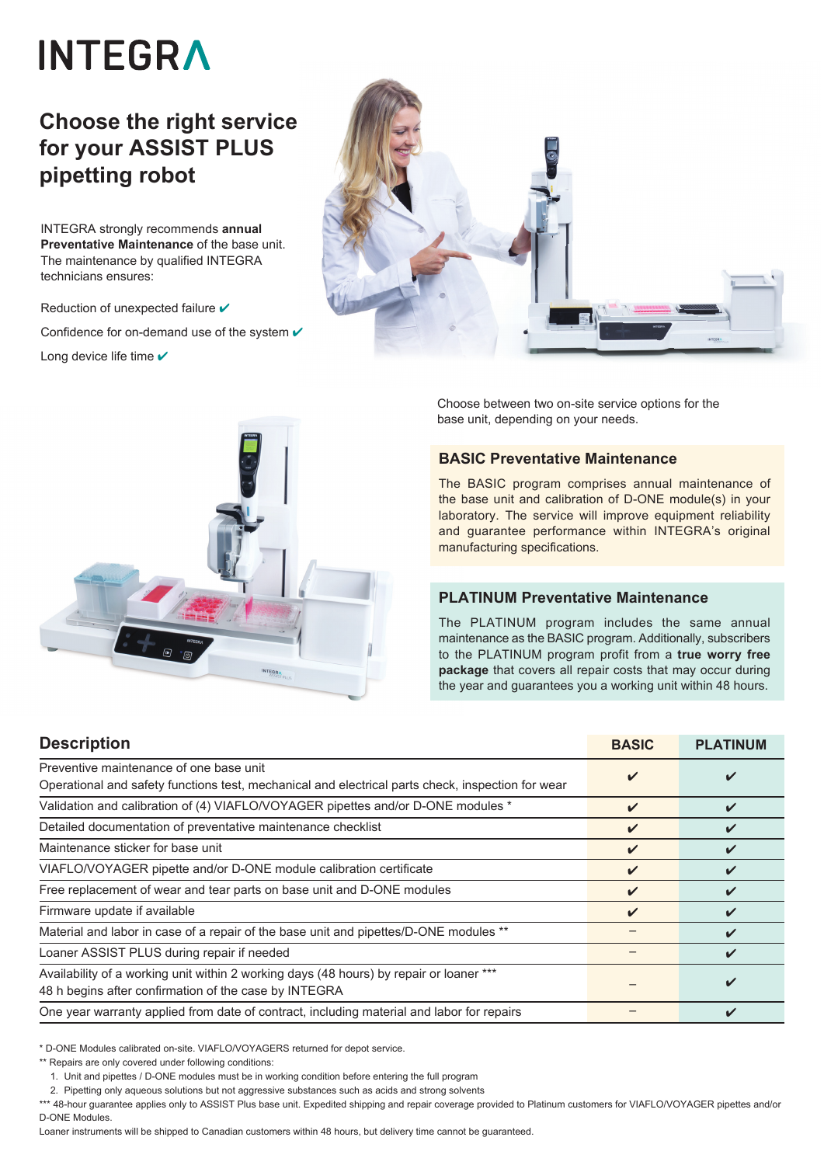# **INTEGRA**

## **Choose the right service for your ASSIST PLUS pipetting robot**

INTEGRA strongly recommends **annual Preventative Maintenance** of the base unit. The maintenance by qualified INTEGRA technicians ensures:

Reduction of unexpected failure  $\checkmark$ Confidence for on-demand use of the system  $\checkmark$ Long device life time  $\checkmark$ 





Choose between two on-site service options for the base unit, depending on your needs.

#### **BASIC Preventative Maintenance**

The BASIC program comprises annual maintenance of the base unit and calibration of D-ONE module(s) in your laboratory. The service will improve equipment reliability and guarantee performance within INTEGRA's original manufacturing specifications.

#### **PLATINUM Preventative Maintenance**

The PLATINUM program includes the same annual maintenance as the BASIC program. Additionally, subscribers to the PLATINUM program profit from a **true worry free package** that covers all repair costs that may occur during the year and guarantees you a working unit within 48 hours.

| <b>Description</b>                                                                                                                               | <b>BASIC</b>               | <b>PLATINUM</b> |
|--------------------------------------------------------------------------------------------------------------------------------------------------|----------------------------|-----------------|
| Preventive maintenance of one base unit<br>Operational and safety functions test, mechanical and electrical parts check, inspection for wear     | ✔                          |                 |
| Validation and calibration of (4) VIAFLO/VOYAGER pipettes and/or D-ONE modules *                                                                 | $\checkmark$               | ✔               |
| Detailed documentation of preventative maintenance checklist                                                                                     | V                          |                 |
| Maintenance sticker for base unit                                                                                                                | ✓                          |                 |
| VIAFLO/VOYAGER pipette and/or D-ONE module calibration certificate                                                                               | $\boldsymbol{\mathcal{U}}$ |                 |
| Free replacement of wear and tear parts on base unit and D-ONE modules                                                                           | $\boldsymbol{\mathcal{U}}$ |                 |
| Firmware update if available                                                                                                                     | $\checkmark$               |                 |
| Material and labor in case of a repair of the base unit and pipettes/D-ONE modules **                                                            |                            |                 |
| Loaner ASSIST PLUS during repair if needed                                                                                                       |                            |                 |
| Availability of a working unit within 2 working days (48 hours) by repair or loaner ***<br>48 h begins after confirmation of the case by INTEGRA |                            |                 |
| One year warranty applied from date of contract, including material and labor for repairs                                                        |                            |                 |

\* D-ONE Modules calibrated on-site. VIAFLO/VOYAGERS returned for depot service.

\*\* Repairs are only covered under following conditions:

1. Unit and pipettes / D-ONE modules must be in working condition before entering the full program

2. Pipetting only aqueous solutions but not aggressive substances such as acids and strong solvents

\*\*\* 48-hour guarantee applies only to ASSIST Plus base unit. Expedited shipping and repair coverage provided to Platinum customers for VIAFLO/VOYAGER pipettes and/or D-ONE Modules.

Loaner instruments will be shipped to Canadian customers within 48 hours, but delivery time cannot be guaranteed.